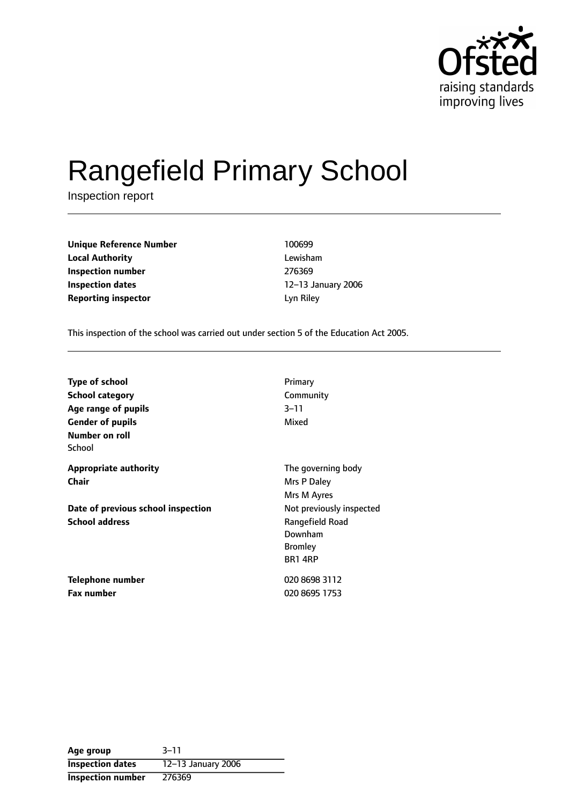

# Rangefield Primary School

Inspection report

**Unique Reference Number** 100699 **Local Authority** Lewisham **Inspection number** 276369 **Inspection dates** 12-13 January 2006 **Reporting inspector Lyn Riley** 

This inspection of the school was carried out under section 5 of the Education Act 2005.

| <b>Type of school</b>              | Primary                  |
|------------------------------------|--------------------------|
| <b>School category</b>             | Community                |
| Age range of pupils                | 3–11                     |
| <b>Gender of pupils</b>            | Mixed                    |
| Number on roll                     |                          |
| School                             |                          |
| <b>Appropriate authority</b>       | The governing body       |
| Chair                              | Mrs P Daley              |
|                                    | Mrs M Ayres              |
| Date of previous school inspection | Not previously inspected |
| <b>School address</b>              | Rangefield Road          |
|                                    | Downham                  |
|                                    | <b>Bromley</b>           |
|                                    | <b>BR1 4RP</b>           |
| Telephone number                   | 020 8698 3112            |
| <b>Fax number</b>                  | 020 8695 1753            |

| Age group                | $3 - 11$           |
|--------------------------|--------------------|
| <b>Inspection dates</b>  | 12-13 January 2006 |
| <b>Inspection number</b> | 276369             |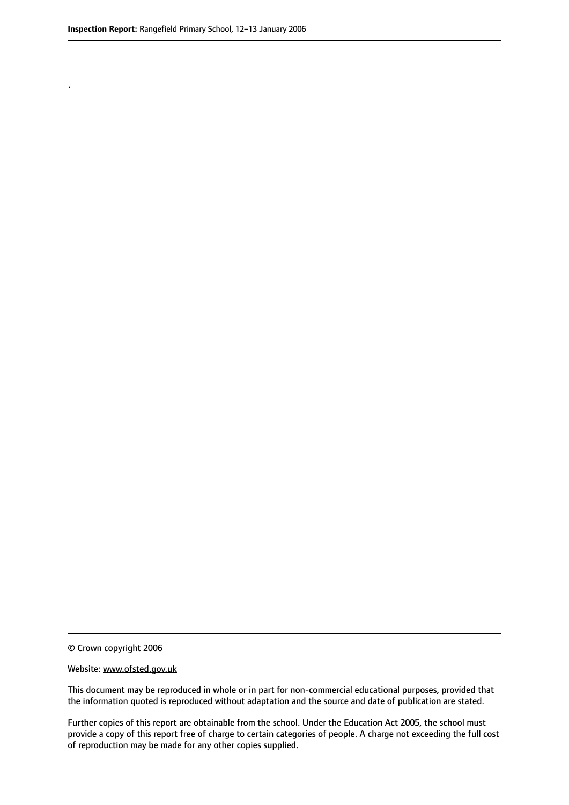.

© Crown copyright 2006

#### Website: www.ofsted.gov.uk

This document may be reproduced in whole or in part for non-commercial educational purposes, provided that the information quoted is reproduced without adaptation and the source and date of publication are stated.

Further copies of this report are obtainable from the school. Under the Education Act 2005, the school must provide a copy of this report free of charge to certain categories of people. A charge not exceeding the full cost of reproduction may be made for any other copies supplied.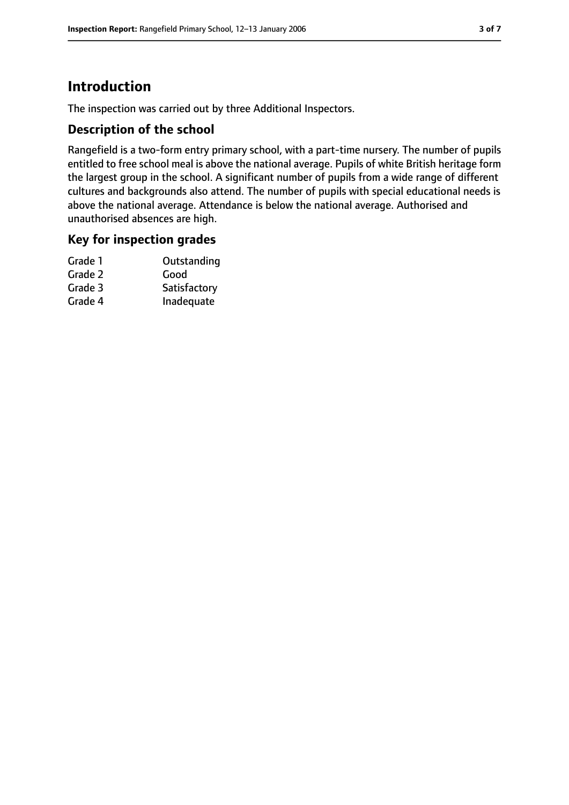## **Introduction**

The inspection was carried out by three Additional Inspectors.

## **Description of the school**

Rangefield is a two-form entry primary school, with a part-time nursery. The number of pupils entitled to free school meal is above the national average. Pupils of white British heritage form the largest group in the school. A significant number of pupils from a wide range of different cultures and backgrounds also attend. The number of pupils with special educational needs is above the national average. Attendance is below the national average. Authorised and unauthorised absences are high.

## **Key for inspection grades**

| Grade 1 | Outstanding  |
|---------|--------------|
| Grade 2 | Good         |
| Grade 3 | Satisfactory |
| Grade 4 | Inadequate   |
|         |              |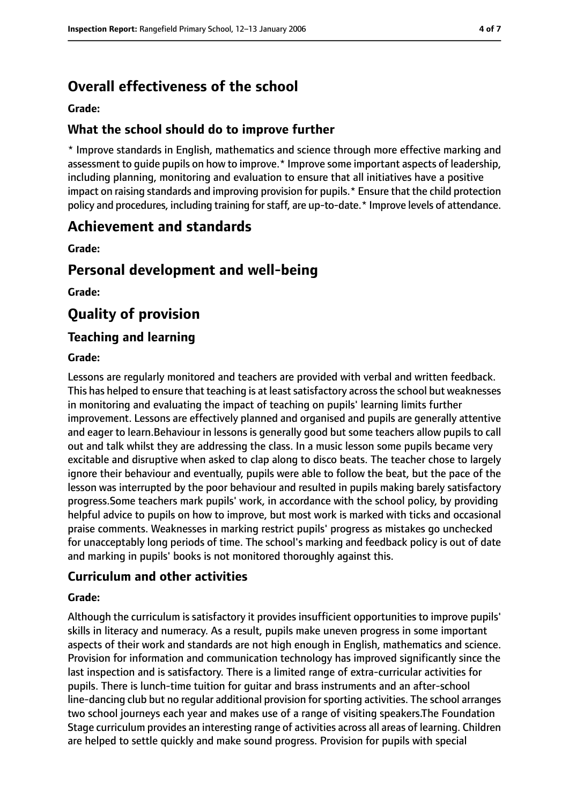## **Overall effectiveness of the school**

**Grade:**

## **What the school should do to improve further**

\* Improve standards in English, mathematics and science through more effective marking and assessment to guide pupils on how to improve.\* Improve some important aspects of leadership, including planning, monitoring and evaluation to ensure that all initiatives have a positive impact on raising standards and improving provision for pupils.\* Ensure that the child protection policy and procedures, including training forstaff, are up-to-date.\* Improve levels of attendance.

## **Achievement and standards**

**Grade:**

## **Personal development and well-being**

**Grade:**

## **Quality of provision**

## **Teaching and learning**

#### **Grade:**

Lessons are regularly monitored and teachers are provided with verbal and written feedback. This has helped to ensure that teaching is at least satisfactory across the school but weaknesses in monitoring and evaluating the impact of teaching on pupils' learning limits further improvement. Lessons are effectively planned and organised and pupils are generally attentive and eager to learn.Behaviour in lessons is generally good but some teachers allow pupils to call out and talk whilst they are addressing the class. In a music lesson some pupils became very excitable and disruptive when asked to clap along to disco beats. The teacher chose to largely ignore their behaviour and eventually, pupils were able to follow the beat, but the pace of the lesson was interrupted by the poor behaviour and resulted in pupils making barely satisfactory progress.Some teachers mark pupils' work, in accordance with the school policy, by providing helpful advice to pupils on how to improve, but most work is marked with ticks and occasional praise comments. Weaknesses in marking restrict pupils' progress as mistakes go unchecked for unacceptably long periods of time. The school's marking and feedback policy is out of date and marking in pupils' books is not monitored thoroughly against this.

## **Curriculum and other activities**

#### **Grade:**

Although the curriculum is satisfactory it provides insufficient opportunities to improve pupils' skills in literacy and numeracy. As a result, pupils make uneven progress in some important aspects of their work and standards are not high enough in English, mathematics and science. Provision for information and communication technology has improved significantly since the last inspection and is satisfactory. There is a limited range of extra-curricular activities for pupils. There is lunch-time tuition for guitar and brass instruments and an after-school line-dancing club but no regular additional provision for sporting activities. The school arranges two school journeys each year and makes use of a range of visiting speakers.The Foundation Stage curriculum provides an interesting range of activities across all areas of learning. Children are helped to settle quickly and make sound progress. Provision for pupils with special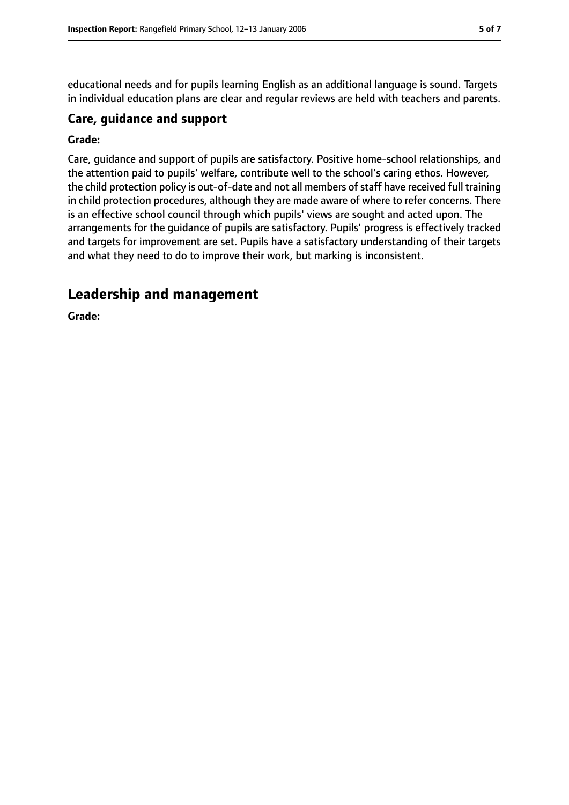educational needs and for pupils learning English as an additional language is sound. Targets in individual education plans are clear and regular reviews are held with teachers and parents.

#### **Care, guidance and support**

#### **Grade:**

Care, guidance and support of pupils are satisfactory. Positive home-school relationships, and the attention paid to pupils' welfare, contribute well to the school's caring ethos. However, the child protection policy is out-of-date and not all members of staff have received full training in child protection procedures, although they are made aware of where to refer concerns. There is an effective school council through which pupils' views are sought and acted upon. The arrangements for the guidance of pupils are satisfactory. Pupils' progress is effectively tracked and targets for improvement are set. Pupils have a satisfactory understanding of their targets and what they need to do to improve their work, but marking is inconsistent.

## **Leadership and management**

**Grade:**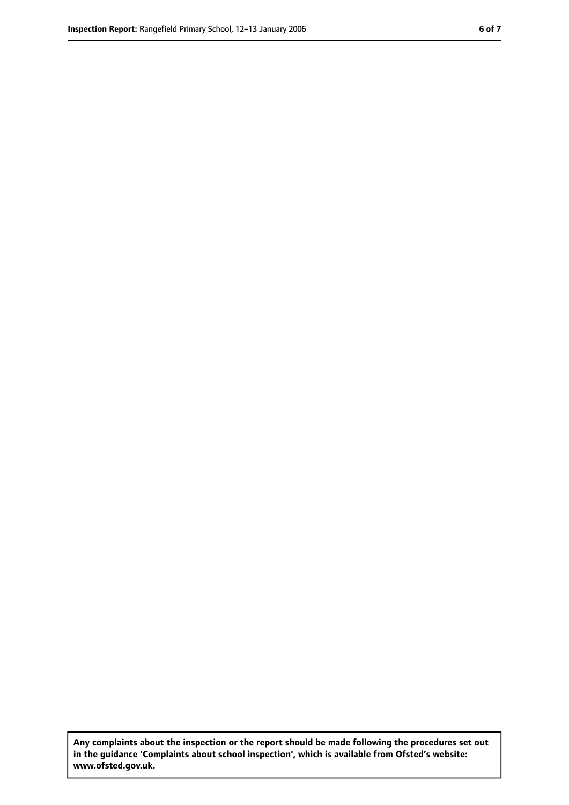**Any complaints about the inspection or the report should be made following the procedures set out in the guidance 'Complaints about school inspection', which is available from Ofsted's website: www.ofsted.gov.uk.**